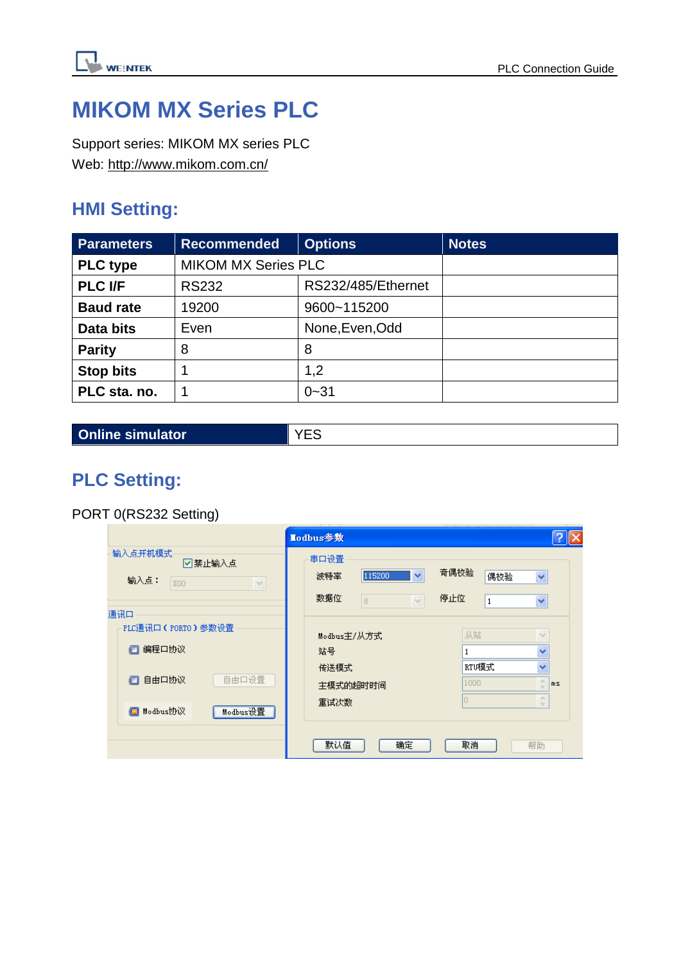

## **MIKOM MX Series PLC**

Support series: MIKOM MX series PLC Web:<http://www.mikom.com.cn/>

### **HMI Setting:**

| <b>Parameters</b> | <b>Recommended</b>         | <b>Options</b>     | <b>Notes</b> |
|-------------------|----------------------------|--------------------|--------------|
| <b>PLC</b> type   | <b>MIKOM MX Series PLC</b> |                    |              |
| <b>PLC I/F</b>    | <b>RS232</b>               | RS232/485/Ethernet |              |
| <b>Baud rate</b>  | 19200                      | 9600~115200        |              |
| Data bits         | Even                       | None, Even, Odd    |              |
| <b>Parity</b>     | 8                          | 8                  |              |
| <b>Stop bits</b>  |                            | 1,2                |              |
| PLC sta. no.      |                            | $0 - 31$           |              |

**Online simulator** YES

### **PLC Setting:**

PORT 0(RS232 Setting)

|                                                                                                | Lodbus参数                                                          |                                    |                                                                                                                                 |
|------------------------------------------------------------------------------------------------|-------------------------------------------------------------------|------------------------------------|---------------------------------------------------------------------------------------------------------------------------------|
| 输入点开机模式。<br>☑禁止输入点<br>输入点:<br>XOO<br>$\vee$                                                    | 串口设置<br>$\checkmark$<br>115200<br>波特率<br>数据位<br>8<br>$\checkmark$ | 奇偶校验<br>偶校验<br>停止位<br>$\mathbf{1}$ | ×<br>Y                                                                                                                          |
| 通讯口<br>PLC通讯口(PORTO)参数设置<br>编程口协议<br>o<br>自由口设置<br>自由口协议<br>o<br><b>□</b> Modbus协议<br>Modbus设置 | Modbus主/从方式<br>站号<br>传送模式<br>主模式的超时时间<br>重试次数                     | 从站<br>RTU榎式<br>1000<br>Ю           | $\sim$<br>$\checkmark$<br>$\checkmark$<br>$\mathcal{A}_n$<br>ms<br>$\overline{\phantom{a}}$<br>$\mathcal{A}_n$<br>$\mathcal{A}$ |
|                                                                                                | 默认值<br>确定                                                         | 取消                                 | 帮助                                                                                                                              |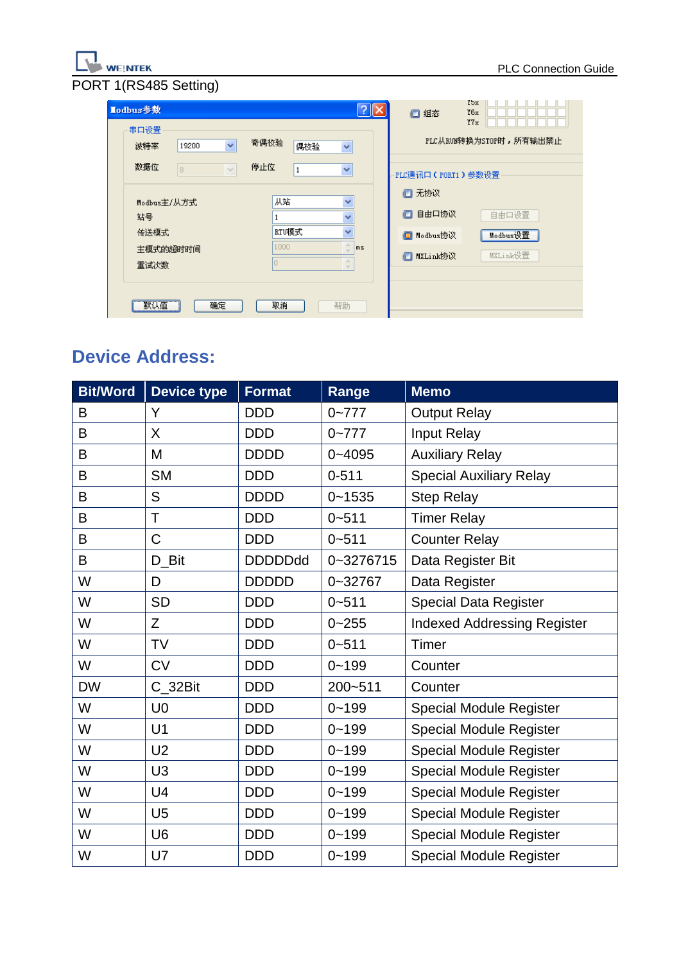# WEINTEK<br>PORT 1(RS485 Setting)

| Lodbus参数             |               |      |              | $  ?   \times$                      | □组态                        | <b>Ybx</b><br>Y6x<br>Y7x |
|----------------------|---------------|------|--------------|-------------------------------------|----------------------------|--------------------------|
| 串口设置<br>19200<br>波特率 | v             | 奇偶校验 | 偶校验          | v                                   |                            | PLC从RUN转换为STOP时,所有输出禁止   |
| 数据位<br>8             | $\mathcal{A}$ | 停止位  | $\mathbf{1}$ | Y                                   | PLC通讯口(PORT1)参数设置<br>□ 无协议 |                          |
| Modbus主/从方式<br>站号    |               | 从站   |              | v<br>v                              | 自由口协议<br>o                 | 自由口设置                    |
| 传送模式<br>主模式的超时时间     |               | 1000 | RTU榎式        | $\overline{\mathbf{v}}$<br>A.<br>ms | <b>□</b> Modbus协议          | Modbus设置                 |
| 重试次数                 |               |      |              | $\mathbb{A}$<br>$\mathcal{A}$       | MXLink协议<br>o              | MXLink设置                 |
| 默认值                  | 确定            | 取消   |              | 帮助                                  |                            |                          |

### **Device Address:**

| <b>Bit/Word</b> | <b>Device type</b> | <b>Format</b>  | Range       | <b>Memo</b>                        |
|-----------------|--------------------|----------------|-------------|------------------------------------|
| B               | Y                  | <b>DDD</b>     | $0 - 777$   | <b>Output Relay</b>                |
| B               | X                  | <b>DDD</b>     | $0 - 777$   | Input Relay                        |
| B               | M                  | <b>DDDD</b>    | $0 - 4095$  | <b>Auxiliary Relay</b>             |
| B               | <b>SM</b>          | <b>DDD</b>     | $0 - 511$   | <b>Special Auxiliary Relay</b>     |
| B               | S                  | <b>DDDD</b>    | $0 - 1535$  | <b>Step Relay</b>                  |
| B               | T                  | <b>DDD</b>     | $0 - 511$   | <b>Timer Relay</b>                 |
| B               | C                  | <b>DDD</b>     | $0 - 511$   | <b>Counter Relay</b>               |
| B               | D Bit              | <b>DDDDDdd</b> | 0~3276715   | Data Register Bit                  |
| W               | D                  | <b>DDDDD</b>   | $0 - 32767$ | Data Register                      |
| W               | <b>SD</b>          | <b>DDD</b>     | $0 - 511$   | <b>Special Data Register</b>       |
| W               | Z                  | <b>DDD</b>     | $0 - 255$   | <b>Indexed Addressing Register</b> |
| W               | TV                 | <b>DDD</b>     | $0 - 511$   | Timer                              |
| W               | <b>CV</b>          | <b>DDD</b>     | $0 - 199$   | Counter                            |
| <b>DW</b>       | C_32Bit            | <b>DDD</b>     | 200~511     | Counter                            |
| W               | U <sub>0</sub>     | <b>DDD</b>     | $0 - 199$   | Special Module Register            |
| W               | U <sub>1</sub>     | <b>DDD</b>     | $0 - 199$   | <b>Special Module Register</b>     |
| W               | U <sub>2</sub>     | <b>DDD</b>     | $0 - 199$   | <b>Special Module Register</b>     |
| W               | U3                 | <b>DDD</b>     | $0 - 199$   | <b>Special Module Register</b>     |
| W               | U <sub>4</sub>     | <b>DDD</b>     | $0 - 199$   | Special Module Register            |
| W               | U <sub>5</sub>     | <b>DDD</b>     | $0 - 199$   | <b>Special Module Register</b>     |
| W               | U <sub>6</sub>     | <b>DDD</b>     | $0 - 199$   | <b>Special Module Register</b>     |
| W               | U7                 | <b>DDD</b>     | $0 - 199$   | <b>Special Module Register</b>     |